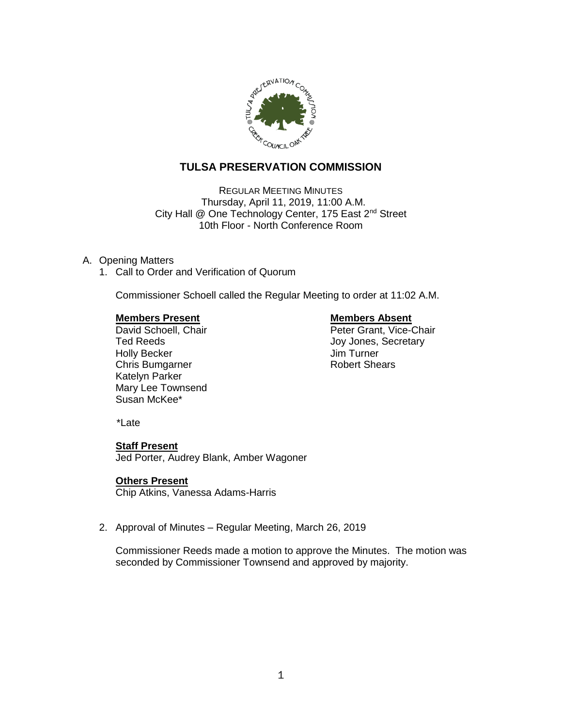

# **TULSA PRESERVATION COMMISSION**

REGULAR MEETING MINUTES Thursday, April 11, 2019, 11:00 A.M. City Hall @ One Technology Center, 175 East 2<sup>nd</sup> Street 10th Floor - North Conference Room

## A. Opening Matters

1. Call to Order and Verification of Quorum

Commissioner Schoell called the Regular Meeting to order at 11:02 A.M.

David Schoell, Chair Holly Becker **Manufather Strutter and Turner** Jim Turner Chris Bumgarner **Robert Shears** Katelyn Parker Mary Lee Townsend Susan McKee\*

**Members Present Construction Construction Members Absent Chair Absent David Schoell. Chair Chair Absent David Schoell. Chair Chair Absent David Schoell. Chair Chair Chair Chair Absent David Schoell. Chair Chair Chair Chai** Ted Reeds **Joy Jones**, Secretary

\*Late

## **Staff Present**

Jed Porter, Audrey Blank, Amber Wagoner

## **Others Present**

Chip Atkins, Vanessa Adams-Harris

2. Approval of Minutes – Regular Meeting, March 26, 2019

Commissioner Reeds made a motion to approve the Minutes. The motion was seconded by Commissioner Townsend and approved by majority.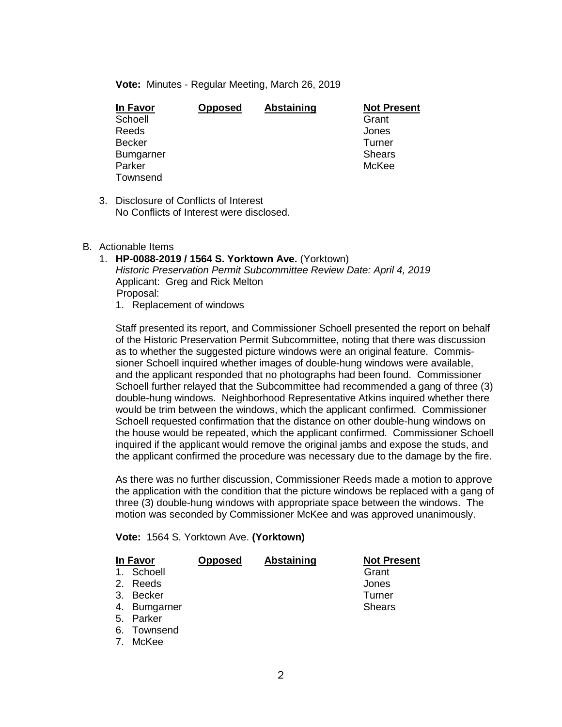**Vote:** Minutes - Regular Meeting, March 26, 2019

| In Favor         | <b>Opposed</b> | Abstaining | <b>Not Present</b> |
|------------------|----------------|------------|--------------------|
| Schoell          |                |            | Grant              |
| Reeds            |                |            | Jones              |
| <b>Becker</b>    |                |            | Turner             |
| <b>Bumgarner</b> |                |            | <b>Shears</b>      |
| Parker           |                |            | McKee              |
| Townsend         |                |            |                    |

- 3. Disclosure of Conflicts of Interest No Conflicts of Interest were disclosed.
- B. Actionable Items
	- 1. **HP-0088-2019 / 1564 S. Yorktown Ave.** (Yorktown) *Historic Preservation Permit Subcommittee Review Date: April 4, 2019* Applicant: Greg and Rick Melton Proposal:
		- 1. Replacement of windows

Staff presented its report, and Commissioner Schoell presented the report on behalf of the Historic Preservation Permit Subcommittee, noting that there was discussion as to whether the suggested picture windows were an original feature. Commissioner Schoell inquired whether images of double-hung windows were available, and the applicant responded that no photographs had been found. Commissioner Schoell further relayed that the Subcommittee had recommended a gang of three (3) double-hung windows. Neighborhood Representative Atkins inquired whether there would be trim between the windows, which the applicant confirmed. Commissioner Schoell requested confirmation that the distance on other double-hung windows on the house would be repeated, which the applicant confirmed. Commissioner Schoell inquired if the applicant would remove the original jambs and expose the studs, and the applicant confirmed the procedure was necessary due to the damage by the fire.

As there was no further discussion, Commissioner Reeds made a motion to approve the application with the condition that the picture windows be replaced with a gang of three (3) double-hung windows with appropriate space between the windows. The motion was seconded by Commissioner McKee and was approved unanimously.

|  |  | Vote: 1564 S. Yorktown Ave. (Yorktown) |  |
|--|--|----------------------------------------|--|
|--|--|----------------------------------------|--|

|    | In Favor     | <b>Opposed</b> | <b>Abstaining</b> | <b>Not Present</b> |
|----|--------------|----------------|-------------------|--------------------|
|    | 1. Schoell   |                |                   | Grant              |
|    | 2. Reeds     |                |                   | Jones              |
|    | 3. Becker    |                |                   | Turner             |
|    | 4. Bumgarner |                |                   | <b>Shears</b>      |
|    | 5. Parker    |                |                   |                    |
|    | 6. Townsend  |                |                   |                    |
| 7. | McKee        |                |                   |                    |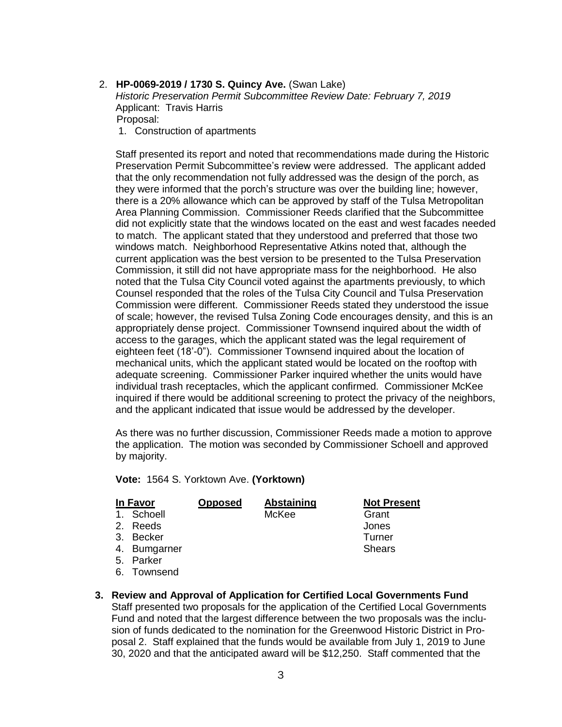2. **HP-0069-2019 / 1730 S. Quincy Ave.** (Swan Lake) *Historic Preservation Permit Subcommittee Review Date: February 7, 2019* Applicant: Travis Harris Proposal:

1. Construction of apartments

Staff presented its report and noted that recommendations made during the Historic Preservation Permit Subcommittee's review were addressed. The applicant added that the only recommendation not fully addressed was the design of the porch, as they were informed that the porch's structure was over the building line; however, there is a 20% allowance which can be approved by staff of the Tulsa Metropolitan Area Planning Commission. Commissioner Reeds clarified that the Subcommittee did not explicitly state that the windows located on the east and west facades needed to match. The applicant stated that they understood and preferred that those two windows match. Neighborhood Representative Atkins noted that, although the current application was the best version to be presented to the Tulsa Preservation Commission, it still did not have appropriate mass for the neighborhood. He also noted that the Tulsa City Council voted against the apartments previously, to which Counsel responded that the roles of the Tulsa City Council and Tulsa Preservation Commission were different. Commissioner Reeds stated they understood the issue of scale; however, the revised Tulsa Zoning Code encourages density, and this is an appropriately dense project. Commissioner Townsend inquired about the width of access to the garages, which the applicant stated was the legal requirement of eighteen feet (18'-0"). Commissioner Townsend inquired about the location of mechanical units, which the applicant stated would be located on the rooftop with adequate screening. Commissioner Parker inquired whether the units would have individual trash receptacles, which the applicant confirmed. Commissioner McKee inquired if there would be additional screening to protect the privacy of the neighbors, and the applicant indicated that issue would be addressed by the developer.

As there was no further discussion, Commissioner Reeds made a motion to approve the application. The motion was seconded by Commissioner Schoell and approved by majority.

**Vote:** 1564 S. Yorktown Ave. **(Yorktown)**

| In Favor     | <b>Opposed</b> | <b>Abstaining</b> | <b>Not Present</b> |
|--------------|----------------|-------------------|--------------------|
| 1. Schoell   |                | McKee             | Grant              |
| 2. Reeds     |                |                   | Jones              |
| 3. Becker    |                |                   | Turner             |
| 4. Bumgarner |                |                   | <b>Shears</b>      |
| 5. Parker    |                |                   |                    |
| 6. Townsend  |                |                   |                    |

**3. Review and Approval of Application for Certified Local Governments Fund** Staff presented two proposals for the application of the Certified Local Governments Fund and noted that the largest difference between the two proposals was the inclusion of funds dedicated to the nomination for the Greenwood Historic District in Proposal 2. Staff explained that the funds would be available from July 1, 2019 to June 30, 2020 and that the anticipated award will be \$12,250. Staff commented that the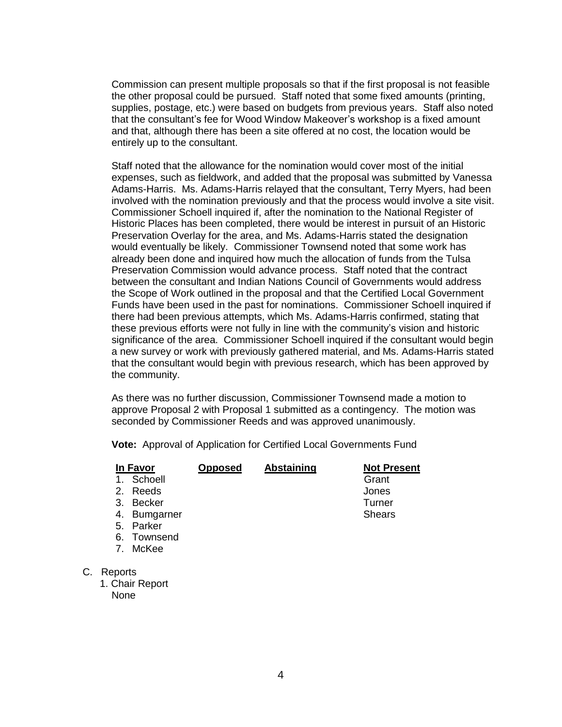Commission can present multiple proposals so that if the first proposal is not feasible the other proposal could be pursued. Staff noted that some fixed amounts (printing, supplies, postage, etc.) were based on budgets from previous years. Staff also noted that the consultant's fee for Wood Window Makeover's workshop is a fixed amount and that, although there has been a site offered at no cost, the location would be entirely up to the consultant.

Staff noted that the allowance for the nomination would cover most of the initial expenses, such as fieldwork, and added that the proposal was submitted by Vanessa Adams-Harris. Ms. Adams-Harris relayed that the consultant, Terry Myers, had been involved with the nomination previously and that the process would involve a site visit. Commissioner Schoell inquired if, after the nomination to the National Register of Historic Places has been completed, there would be interest in pursuit of an Historic Preservation Overlay for the area, and Ms. Adams-Harris stated the designation would eventually be likely. Commissioner Townsend noted that some work has already been done and inquired how much the allocation of funds from the Tulsa Preservation Commission would advance process. Staff noted that the contract between the consultant and Indian Nations Council of Governments would address the Scope of Work outlined in the proposal and that the Certified Local Government Funds have been used in the past for nominations. Commissioner Schoell inquired if there had been previous attempts, which Ms. Adams-Harris confirmed, stating that these previous efforts were not fully in line with the community's vision and historic significance of the area. Commissioner Schoell inquired if the consultant would begin a new survey or work with previously gathered material, and Ms. Adams-Harris stated that the consultant would begin with previous research, which has been approved by the community.

As there was no further discussion, Commissioner Townsend made a motion to approve Proposal 2 with Proposal 1 submitted as a contingency. The motion was seconded by Commissioner Reeds and was approved unanimously.

**Vote:** Approval of Application for Certified Local Governments Fund

| In Favor                                | <b>Opposed</b> | <b>Abstaining</b> | <b>Not Present</b> |
|-----------------------------------------|----------------|-------------------|--------------------|
| Schoell<br>1.                           |                |                   | Grant              |
| Reeds<br>2.                             |                |                   | Jones              |
| <b>Becker</b><br>3.                     |                |                   | Turner             |
| 4. Bumgarner                            |                |                   | <b>Shears</b>      |
| Parker<br>5.                            |                |                   |                    |
| Townsend<br>6.                          |                |                   |                    |
| McKee<br>$7_{\scriptscriptstyle{\sim}}$ |                |                   |                    |
| Reports<br>C.                           |                |                   |                    |
| 1. Chair Report                         |                |                   |                    |
| None                                    |                |                   |                    |